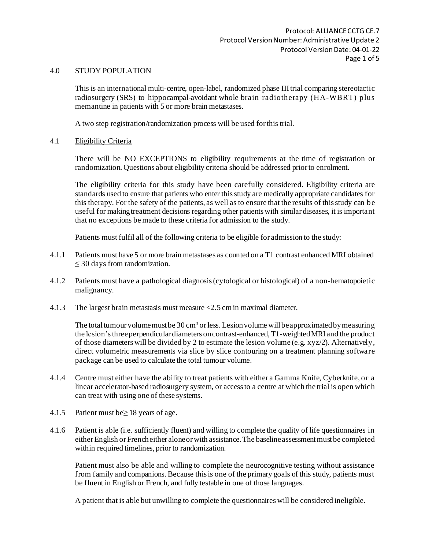## 4.0 STUDY POPULATION

This is an international multi-centre, open-label, randomized phase III trial comparing stereotactic radiosurgery (SRS) to hippocampal-avoidant whole brain radiotherapy (HA-WBRT) plus memantine in patients with 5 or more brain metastases.

A two step registration/randomization process will be used forthis trial.

4.1 Eligibility Criteria

There will be NO EXCEPTIONS to eligibility requirements at the time of registration or randomization. Questions about eligibility criteria should be addressed priorto enrolment.

The eligibility criteria for this study have been carefully considered. Eligibility criteria are standards used to ensure that patients who enter thisstudy are medically appropriate candidates for this therapy. For the safety of the patients, as well as to ensure that the results of thisstudy can be useful for makingtreatment decisions regarding other patients with similar diseases, it is important that no exceptions be made to these criteria for admission to the study.

Patients must fulfil all of the following criteria to be eligible for admission to the study:

- 4.1.1 Patients must have 5 or more brain metastases as counted on a T1 contrast enhanced MRI obtained ≤ 30 days from randomization.
- 4.1.2 Patients must have a pathological diagnosis(cytological or histological) of a non-hematopoietic malignancy.
- 4.1.3 The largest brain metastasis must measure <2.5 cm in maximal diameter.

The total tumour volume must be  $30 \text{ cm}^3$  or less. Lesion volume will be approximated by measuring the lesion'sthreeperpendicular diameters oncontrast-enhanced, T1-weightedMRI and the product of those diameters will be divided by 2 to estimate the lesion volume (e.g. xyz/2). Alternatively, direct volumetric measurements via slice by slice contouring on a treatment planning software package can be used to calculate the total tumour volume.

- 4.1.4 Centre must either have the ability to treat patients with either a Gamma Knife, Cyberknife, or a linear accelerator-based radiosurgery system, or accessto a centre at which the trial is open which can treat with using one of these systems.
- 4.1.5 Patient must be≥ 18 years of age.
- 4.1.6 Patient is able (i.e. sufficiently fluent) and willing to complete the quality of life questionnaires in either English or Frencheither alone or with assistance. The baseline assessment must be completed within required timelines, prior to randomization.

Patient must also be able and willing to complete the neurocognitive testing without assistance from family and companions.Because thisis one of the primary goals of this study, patients must be fluent in English or French, and fully testable in one of those languages.

A patient that is able but unwilling to complete the questionnaires will be considered ineligible.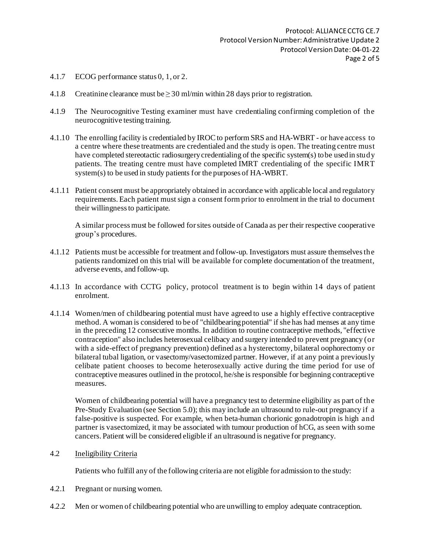- 4.1.7 ECOG performance status 0, 1, or 2.
- 4.1.8 Creatinine clearance must be  $\geq$  30 ml/min within 28 days prior to registration.
- 4.1.9 The Neurocognitive Testing examiner must have credentialing confirming completion of the neurocognitive testing training.
- 4.1.10 The enrolling facility is credentialed by IROCto perform SRS and HA-WBRT or have access to a centre where these treatments are credentialed and the study is open. The treating centre must have completed stereotactic radiosurgerycredentialing of the specific system(s) tobe usedin study patients. The treating centre must have completed IMRT credentialing of the specific IMRT system(s) to be used in study patients for the purposes of HA-WBRT.
- 4.1.11 Patient consent must be appropriately obtained in accordance with applicable local and regulatory requirements. Each patient must sign a consent form prior to enrolment in the trial to document their willingnessto participate.

A similar processmust be followed forsites outside of Canada as per their respective cooperative group's procedures.

- 4.1.12 Patients must be accessible for treatment and follow-up. Investigators must assure themselvesthe patients randomized on this trial will be available for complete documentation of the treatment, adverse events, and follow-up.
- 4.1.13 In accordance with CCTG policy, protocol treatment is to begin within 14 days of patient enrolment.
- 4.1.14 Women/men of childbearing potential must have agreed to use a highly effective contraceptive method. A woman is considered to be of "childbearingpotential" if she has had menses at any time in the preceding 12 consecutive months. In addition to routine contraceptive methods, "effective contraception" also includes heterosexual celibacy and surgery intended to prevent pregnancy (or with a side-effect of pregnancy prevention) defined as a hysterectomy, bilateral oophorectomy or bilateral tubal ligation, or vasectomy/vasectomized partner. However, if at any point a previously celibate patient chooses to become heterosexually active during the time period for use of contraceptive measures outlined in the protocol, he/she is responsible for beginning contraceptive measures.

Women of childbearing potential will have a pregnancy test to determine eligibility as part of the Pre-Study Evaluation (see Section 5.0); this may include an ultrasound to rule-out pregnancy if a false-positive is suspected. For example, when beta-human chorionic gonadotropin is high and partner is vasectomized, it may be associated with tumour production of hCG, as seen with some cancers. Patient will be considered eligible if an ultrasound is negative for pregnancy.

4.2 Ineligibility Criteria

Patients who fulfill any of the following criteria are not eligible for admission to the study:

- 4.2.1 Pregnant or nursing women.
- 4.2.2 Men or women of childbearing potential who are unwilling to employ adequate contraception.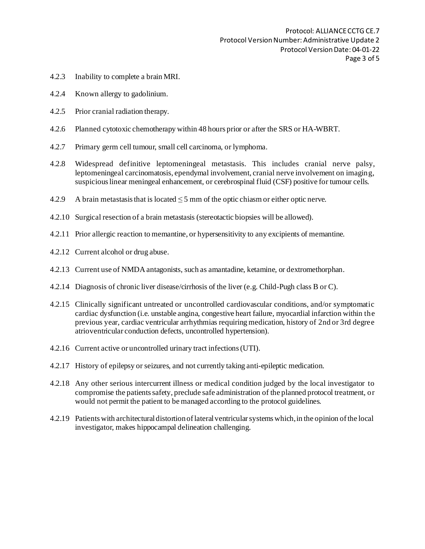- 4.2.3 Inability to complete a brain MRI.
- 4.2.4 Known allergy to gadolinium.
- 4.2.5 Prior cranial radiation therapy.
- 4.2.6 Planned cytotoxic chemotherapy within 48 hours prior or after the SRS or HA-WBRT.
- 4.2.7 Primary germ cell tumour, small cell carcinoma, or lymphoma.
- 4.2.8 Widespread definitive leptomeningeal metastasis. This includes cranial nerve palsy, leptomeningeal carcinomatosis, ependymal involvement, cranial nerve involvement on imaging, suspicious linear meningeal enhancement, or cerebrospinal fluid (CSF) positive for tumour cells.
- 4.2.9 A brain metastasis that is located  $\leq$  5 mm of the optic chiasm or either optic nerve.
- 4.2.10 Surgical resection of a brain metastasis (stereotactic biopsies will be allowed).
- 4.2.11 Prior allergic reaction to memantine, or hypersensitivity to any excipients of memantine.
- 4.2.12 Current alcohol or drug abuse.
- 4.2.13 Current use of NMDA antagonists, such as amantadine, ketamine, or dextromethorphan.
- 4.2.14 Diagnosis of chronic liver disease/cirrhosis of the liver (e.g. Child-Pugh class B or C).
- 4.2.15 Clinically significant untreated or uncontrolled cardiovascular conditions, and/or symptomatic cardiac dysfunction (i.e. unstable angina, congestive heart failure, myocardial infarction within the previous year, cardiac ventricular arrhythmias requiring medication, history of 2nd or 3rd degree atrioventricular conduction defects, uncontrolled hypertension).
- 4.2.16 Current active or uncontrolled urinary tract infections(UTI).
- 4.2.17 History of epilepsy or seizures, and not currently taking anti-epileptic medication.
- 4.2.18 Any other serious intercurrent illness or medical condition judged by the local investigator to compromise the patients safety, preclude safe administration of the planned protocol treatment, or would not permit the patient to be managed according to the protocol guidelines.
- 4.2.19 Patients with architectural distortionoflateral ventricularsystems which,in the opinion ofthe local investigator, makes hippocampal delineation challenging.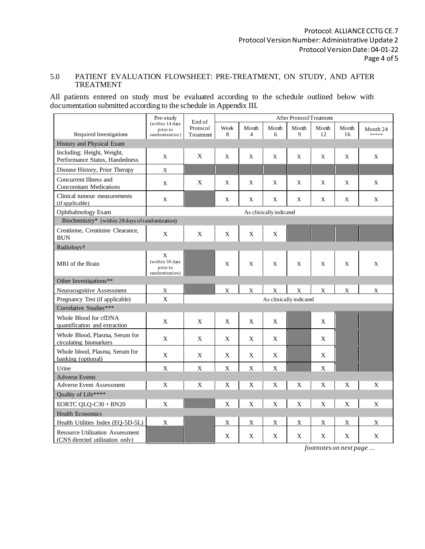## 5.0 PATIENT EVALUATION FLOWSHEET: PRE-TREATMENT, ON STUDY, AND AFTER TREATMENT

All patients entered on study must be evaluated according to the schedule outlined below with documentation submitted according to the schedule in Appendix III.

|                                                                           | Pre-study                                          | End of                  | After Protocol Treatment |                         |                |            |              |             |                   |
|---------------------------------------------------------------------------|----------------------------------------------------|-------------------------|--------------------------|-------------------------|----------------|------------|--------------|-------------|-------------------|
| Required Investigations                                                   | (within 14 days<br>prior to<br>randomization)      | Protocol<br>Treatment   | Week<br>8                | Month<br>$\overline{4}$ | Month<br>6     | Month<br>9 | Month<br>12  | Month<br>16 | Month 24<br>***** |
| History and Physical Exam                                                 |                                                    |                         |                          |                         |                |            |              |             |                   |
| Including: Height, Weight,<br>Performance Status, Handedness              | X                                                  | X                       | X                        | X                       | X              | X          | X            | X           | X                 |
| Disease History, Prior Therapy                                            | $\mathbf X$                                        |                         |                          |                         |                |            |              |             |                   |
| Concurrent Illness and<br><b>Concomitant Medications</b>                  | $\mathbf X$                                        | X                       | $\mathbf{X}$             | X                       | X              | X          | $\mathbf{X}$ | X           | X                 |
| Clinical tumour measurements<br>(if applicable)                           | X                                                  |                         | X                        | X                       | X              | X          | X            | X           | X                 |
| Ophthalmology Exam                                                        | As clinically indicated                            |                         |                          |                         |                |            |              |             |                   |
| Biochemistry* (within 28 days of randomization)                           |                                                    |                         |                          |                         |                |            |              |             |                   |
| Creatinine, Creatinine Clearance,<br><b>BUN</b>                           | $\mathbf X$                                        | $\mathbf X$             | $\mathbf X$              | $\mathbf X$             | $\mathbf X$    |            |              |             |                   |
| Radiology <sup>†</sup>                                                    |                                                    |                         |                          |                         |                |            |              |             |                   |
| MRI of the Brain                                                          | X<br>(within 30 days<br>prior to<br>randomization) |                         | $\mathbf X$              | $\mathbf X$             | X              | X          | X            | X           | X                 |
| Other Investigations**                                                    |                                                    |                         |                          |                         |                |            |              |             |                   |
| Neurocognitive Assessment                                                 | $\mathbf X$                                        |                         | X                        | $\mathbf X$             | $\mathbf X$    | X          | $\mathbf X$  | $\mathbf X$ | X                 |
| Pregnancy Test (if applicable)                                            | X                                                  | As clinically indicated |                          |                         |                |            |              |             |                   |
| Correlative Studies***                                                    |                                                    |                         |                          |                         |                |            |              |             |                   |
| Whole Blood for cfDNA<br>quantification and extraction                    | $\mathbf X$                                        | $\mathbf X$             | $\mathbf X$              | $\mathbf X$             | $\mathbf X$    |            | $\mathbf X$  |             |                   |
| Whole Blood, Plasma, Serum for<br>circulating biomarkers                  | X                                                  | X                       | $\mathbf X$              | X                       | X              |            | X            |             |                   |
| Whole blood, Plasma, Serum for<br>banking (optional)                      | X                                                  | X                       | X                        | X                       | X              |            | X            |             |                   |
| Urine                                                                     | $\mathbf X$                                        | $\mathbf X$             | $\mathbf X$              | $\mathbf X$             | $\mathbf X$    |            | $\mathbf X$  |             |                   |
| <b>Adverse Events</b>                                                     |                                                    |                         |                          |                         |                |            |              |             |                   |
| <b>Adverse Event Assessment</b>                                           | X                                                  | X                       | X                        | $\mathbf X$             | X              | X          | X            | X           | $\mathbf X$       |
| Quality of Life****                                                       |                                                    |                         |                          |                         |                |            |              |             |                   |
| EORTC QLQ-C30 + BN20                                                      | $\mathbf X$                                        |                         | X                        | X                       | $\overline{X}$ | X          | $\mathbf X$  | $\mathbf X$ | $\mathbf X$       |
| <b>Health Economics</b>                                                   |                                                    |                         |                          |                         |                |            |              |             |                   |
| Health Utilities Index (EQ-5D-5L)                                         | $\mathbf X$                                        |                         | X                        | X                       | X              | X          | X            | X           | X                 |
| <b>Resource Utilization Assessment</b><br>(CNS directed utilization only) |                                                    |                         | X                        | X                       | X              | X          | X            | X           | X                 |

*footnotes on next page …*